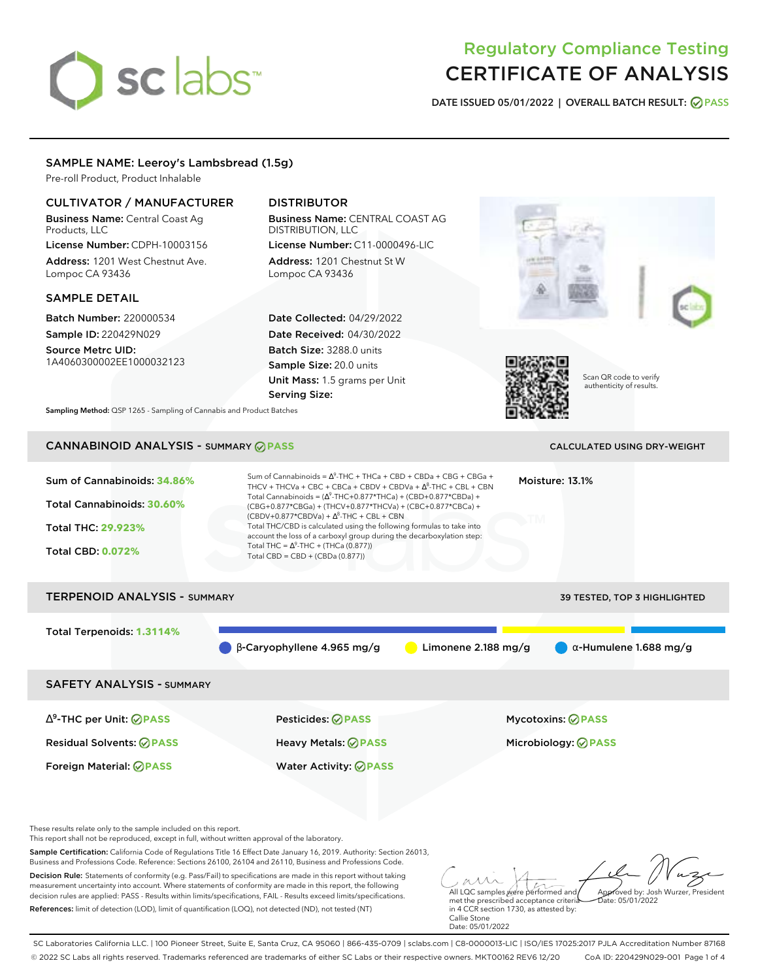# sclabs<sup>\*</sup>

# Regulatory Compliance Testing CERTIFICATE OF ANALYSIS

**DATE ISSUED 05/01/2022 | OVERALL BATCH RESULT: PASS**

# SAMPLE NAME: Leeroy's Lambsbread (1.5g)

Pre-roll Product, Product Inhalable

# CULTIVATOR / MANUFACTURER

Business Name: Central Coast Ag Products, LLC

License Number: CDPH-10003156 Address: 1201 West Chestnut Ave. Lompoc CA 93436

# SAMPLE DETAIL

Batch Number: 220000534 Sample ID: 220429N029

Source Metrc UID: 1A4060300002EE1000032123

# DISTRIBUTOR

Business Name: CENTRAL COAST AG DISTRIBUTION, LLC License Number: C11-0000496-LIC

Address: 1201 Chestnut St W Lompoc CA 93436

Date Collected: 04/29/2022 Date Received: 04/30/2022 Batch Size: 3288.0 units Sample Size: 20.0 units Unit Mass: 1.5 grams per Unit Serving Size:





Scan QR code to verify authenticity of results.

**Sampling Method:** QSP 1265 - Sampling of Cannabis and Product Batches

# CANNABINOID ANALYSIS - SUMMARY **PASS** CALCULATED USING DRY-WEIGHT

| Sum of Cannabinoids: 34.86%<br>Total Cannabinoids: 30.60%<br><b>Total THC: 29.923%</b><br><b>Total CBD: 0.072%</b> | Sum of Cannabinoids = $\Delta^9$ -THC + THCa + CBD + CBDa + CBG + CBGa +<br>THCV + THCVa + CBC + CBCa + CBDV + CBDVa + $\Delta^8$ -THC + CBL + CBN<br>Total Cannabinoids = $(\Delta^9$ -THC+0.877*THCa) + (CBD+0.877*CBDa) +<br>(CBG+0.877*CBGa) + (THCV+0.877*THCVa) + (CBC+0.877*CBCa) +<br>$(CBDV+0.877*CBDVa) + \Delta^8$ -THC + CBL + CBN<br>Total THC/CBD is calculated using the following formulas to take into<br>account the loss of a carboxyl group during the decarboxylation step:<br>Total THC = $\Delta^9$ -THC + (THCa (0.877))<br>Total CBD = CBD + (CBDa (0.877)) |                     | Moisture: 13.1%               |  |  |  |
|--------------------------------------------------------------------------------------------------------------------|--------------------------------------------------------------------------------------------------------------------------------------------------------------------------------------------------------------------------------------------------------------------------------------------------------------------------------------------------------------------------------------------------------------------------------------------------------------------------------------------------------------------------------------------------------------------------------------|---------------------|-------------------------------|--|--|--|
| <b>TERPENOID ANALYSIS - SUMMARY</b><br><b>39 TESTED, TOP 3 HIGHLIGHTED</b>                                         |                                                                                                                                                                                                                                                                                                                                                                                                                                                                                                                                                                                      |                     |                               |  |  |  |
| Total Terpenoids: 1.3114%                                                                                          | $\beta$ -Caryophyllene 4.965 mg/g                                                                                                                                                                                                                                                                                                                                                                                                                                                                                                                                                    | Limonene 2.188 mg/g | $\alpha$ -Humulene 1.688 mg/g |  |  |  |
| <b>SAFETY ANALYSIS - SUMMARY</b>                                                                                   |                                                                                                                                                                                                                                                                                                                                                                                                                                                                                                                                                                                      |                     |                               |  |  |  |
| $\Delta^9$ -THC per Unit: $\bigcirc$ PASS                                                                          | Pesticides: ⊘PASS                                                                                                                                                                                                                                                                                                                                                                                                                                                                                                                                                                    |                     | Mycotoxins: ⊘PASS             |  |  |  |
| <b>Residual Solvents: ⊘PASS</b>                                                                                    | Heavy Metals: ⊘PASS                                                                                                                                                                                                                                                                                                                                                                                                                                                                                                                                                                  |                     | Microbiology: <b>⊘PASS</b>    |  |  |  |
| Foreign Material: <b>⊘ PASS</b>                                                                                    | <b>Water Activity: ⊘PASS</b>                                                                                                                                                                                                                                                                                                                                                                                                                                                                                                                                                         |                     |                               |  |  |  |

These results relate only to the sample included on this report.

This report shall not be reproduced, except in full, without written approval of the laboratory.

Sample Certification: California Code of Regulations Title 16 Effect Date January 16, 2019. Authority: Section 26013, Business and Professions Code. Reference: Sections 26100, 26104 and 26110, Business and Professions Code.

Decision Rule: Statements of conformity (e.g. Pass/Fail) to specifications are made in this report without taking measurement uncertainty into account. Where statements of conformity are made in this report, the following decision rules are applied: PASS - Results within limits/specifications, FAIL - Results exceed limits/specifications. References: limit of detection (LOD), limit of quantification (LOQ), not detected (ND), not tested (NT)

All LQC samples were performed and Approved by: Josh Wurzer, President Date: 05/01/2022

met the prescribed acceptance criteria in 4 CCR section 1730, as attested by: Callie Stone Date: 05/01/2022

SC Laboratories California LLC. | 100 Pioneer Street, Suite E, Santa Cruz, CA 95060 | 866-435-0709 | sclabs.com | C8-0000013-LIC | ISO/IES 17025:2017 PJLA Accreditation Number 87168 © 2022 SC Labs all rights reserved. Trademarks referenced are trademarks of either SC Labs or their respective owners. MKT00162 REV6 12/20 CoA ID: 220429N029-001 Page 1 of 4